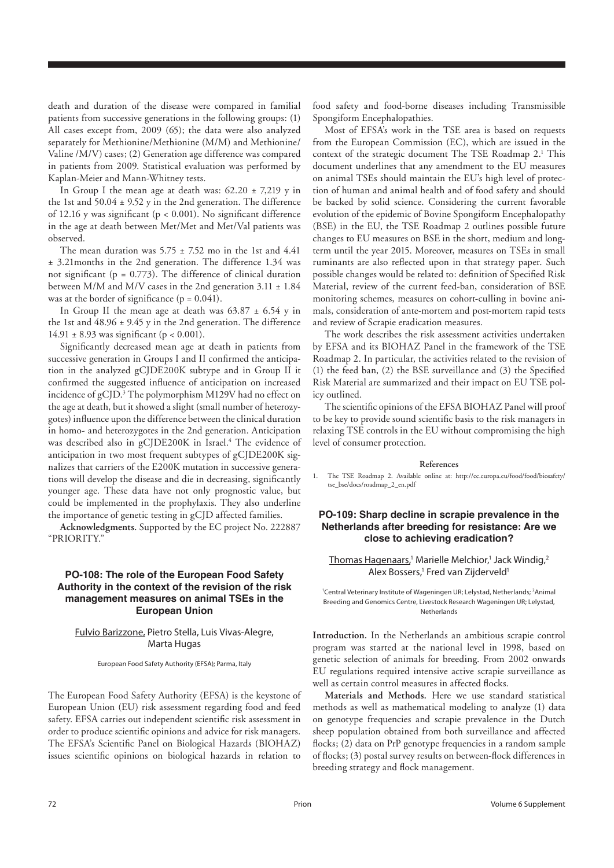death and duration of the disease were compared in familial patients from successive generations in the following groups: (1) All cases except from, 2009 (65); the data were also analyzed separately for Methionine/Methionine (M/M) and Methionine/ Valine /M/V) cases; (2) Generation age difference was compared in patients from 2009. Statistical evaluation was performed by Kaplan-Meier and Mann-Whitney tests.

In Group I the mean age at death was:  $62.20 \pm 7.219$  y in the 1st and  $50.04 \pm 9.52$  y in the 2nd generation. The difference of 12.16 y was significant ( $p < 0.001$ ). No significant difference in the age at death between Met/Met and Met/Val patients was observed.

The mean duration was  $5.75 \pm 7.52$  mo in the 1st and 4.41 ± 3.21months in the 2nd generation. The difference 1.34 was not significant ( $p = 0.773$ ). The difference of clinical duration between M/M and M/V cases in the 2nd generation  $3.11 \pm 1.84$ was at the border of significance  $(p = 0.041)$ .

In Group II the mean age at death was  $63.87 \pm 6.54$  y in the 1st and  $48.96 \pm 9.45$  y in the 2nd generation. The difference 14.91  $\pm$  8.93 was significant (p < 0.001).

Significantly decreased mean age at death in patients from successive generation in Groups I and II confirmed the anticipation in the analyzed gCJDE200K subtype and in Group II it confirmed the suggested influence of anticipation on increased incidence of gCJD.3 The polymorphism M129V had no effect on the age at death, but it showed a slight (small number of heterozygotes) influence upon the difference between the clinical duration in homo- and heterozygotes in the 2nd generation. Anticipation was described also in gCJDE200K in Israel.<sup>4</sup> The evidence of anticipation in two most frequent subtypes of gCJDE200K signalizes that carriers of the E200K mutation in successive generations will develop the disease and die in decreasing, significantly younger age. These data have not only prognostic value, but could be implemented in the prophylaxis. They also underline the importance of genetic testing in gCJD affected families.

**Acknowledgments.** Supported by the EC project No. 222887 "PRIORITY."

# **PO-108: The role of the European Food Safety Authority in the context of the revision of the risk management measures on animal TSEs in the European Union**

# Fulvio Barizzone, Pietro Stella, Luis Vivas-Alegre, Marta Hugas

European Food Safety Authority (EFSA); Parma, Italy

The European Food Safety Authority (EFSA) is the keystone of European Union (EU) risk assessment regarding food and feed safety. EFSA carries out independent scientific risk assessment in order to produce scientific opinions and advice for risk managers. The EFSA's Scientific Panel on Biological Hazards (BIOHAZ) issues scientific opinions on biological hazards in relation to

food safety and food-borne diseases including Transmissible Spongiform Encephalopathies.

Most of EFSA's work in the TSE area is based on requests from the European Commission (EC), which are issued in the context of the strategic document The TSE Roadmap 2.<sup>1</sup> This document underlines that any amendment to the EU measures on animal TSEs should maintain the EU's high level of protection of human and animal health and of food safety and should be backed by solid science. Considering the current favorable evolution of the epidemic of Bovine Spongiform Encephalopathy (BSE) in the EU, the TSE Roadmap 2 outlines possible future changes to EU measures on BSE in the short, medium and longterm until the year 2015. Moreover, measures on TSEs in small ruminants are also reflected upon in that strategy paper. Such possible changes would be related to: definition of Specified Risk Material, review of the current feed-ban, consideration of BSE monitoring schemes, measures on cohort-culling in bovine animals, consideration of ante-mortem and post-mortem rapid tests and review of Scrapie eradication measures.

The work describes the risk assessment activities undertaken by EFSA and its BIOHAZ Panel in the framework of the TSE Roadmap 2. In particular, the activities related to the revision of (1) the feed ban, (2) the BSE surveillance and (3) the Specified Risk Material are summarized and their impact on EU TSE policy outlined.

The scientific opinions of the EFSA BIOHAZ Panel will proof to be key to provide sound scientific basis to the risk managers in relaxing TSE controls in the EU without compromising the high level of consumer protection.

#### **References**

1. The TSE Roadmap 2. Available online at: http://ec.europa.eu/food/food/biosafety/ tse\_bse/docs/roadmap\_2\_en.pdf

# **PO-109: Sharp decline in scrapie prevalence in the Netherlands after breeding for resistance: Are we close to achieving eradication?**

## Thomas Hagenaars,<sup>1</sup> Marielle Melchior,<sup>1</sup> Jack Windig,<sup>2</sup> Alex Bossers,<sup>1</sup> Fred van Zijderveld<sup>1</sup>

<sup>1</sup>Central Veterinary Institute of Wageningen UR; Lelystad, Netherlands; <sup>2</sup>Animal Breeding and Genomics Centre, Livestock Research Wageningen UR; Lelystad, Netherlands

**Introduction.** In the Netherlands an ambitious scrapie control program was started at the national level in 1998, based on genetic selection of animals for breeding. From 2002 onwards EU regulations required intensive active scrapie surveillance as well as certain control measures in affected flocks.

**Materials and Methods.** Here we use standard statistical methods as well as mathematical modeling to analyze (1) data on genotype frequencies and scrapie prevalence in the Dutch sheep population obtained from both surveillance and affected flocks; (2) data on PrP genotype frequencies in a random sample of flocks; (3) postal survey results on between-flock differences in breeding strategy and flock management.